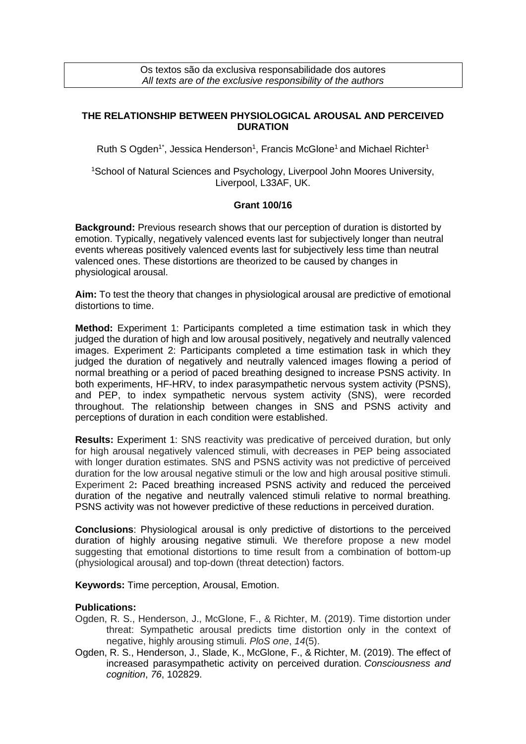Os textos são da exclusiva responsabilidade dos autores *All texts are of the exclusive responsibility of the authors*

## **THE RELATIONSHIP BETWEEN PHYSIOLOGICAL AROUSAL AND PERCEIVED DURATION**

Ruth S Ogden<sup>1\*</sup>, Jessica Henderson<sup>1</sup>, Francis McGlone<sup>1</sup> and Michael Richter<sup>1</sup>

<sup>1</sup>School of Natural Sciences and Psychology, Liverpool John Moores University, Liverpool, L33AF, UK.

## **Grant 100/16**

**Background:** Previous research shows that our perception of duration is distorted by emotion. Typically, negatively valenced events last for subjectively longer than neutral events whereas positively valenced events last for subjectively less time than neutral valenced ones. These distortions are theorized to be caused by changes in physiological arousal.

**Aim:** To test the theory that changes in physiological arousal are predictive of emotional distortions to time.

**Method:** Experiment 1: Participants completed a time estimation task in which they judged the duration of high and low arousal positively, negatively and neutrally valenced images. Experiment 2: Participants completed a time estimation task in which they judged the duration of negatively and neutrally valenced images flowing a period of normal breathing or a period of paced breathing designed to increase PSNS activity. In both experiments, HF-HRV, to index parasympathetic nervous system activity (PSNS), and PEP, to index sympathetic nervous system activity (SNS), were recorded throughout. The relationship between changes in SNS and PSNS activity and perceptions of duration in each condition were established.

**Results:** Experiment 1: SNS reactivity was predicative of perceived duration, but only for high arousal negatively valenced stimuli, with decreases in PEP being associated with longer duration estimates. SNS and PSNS activity was not predictive of perceived duration for the low arousal negative stimuli or the low and high arousal positive stimuli. Experiment 2**:** Paced breathing increased PSNS activity and reduced the perceived duration of the negative and neutrally valenced stimuli relative to normal breathing. PSNS activity was not however predictive of these reductions in perceived duration.

**Conclusions**: Physiological arousal is only predictive of distortions to the perceived duration of highly arousing negative stimuli. We therefore propose a new model suggesting that emotional distortions to time result from a combination of bottom-up (physiological arousal) and top-down (threat detection) factors.

**Keywords:** Time perception, Arousal, Emotion.

## **Publications:**

- Ogden, R. S., Henderson, J., McGlone, F., & Richter, M. (2019). Time distortion under threat: Sympathetic arousal predicts time distortion only in the context of negative, highly arousing stimuli. *PloS one*, *14*(5).
- Ogden, R. S., Henderson, J., Slade, K., McGlone, F., & Richter, M. (2019). The effect of increased parasympathetic activity on perceived duration. *Consciousness and cognition*, *76*, 102829.